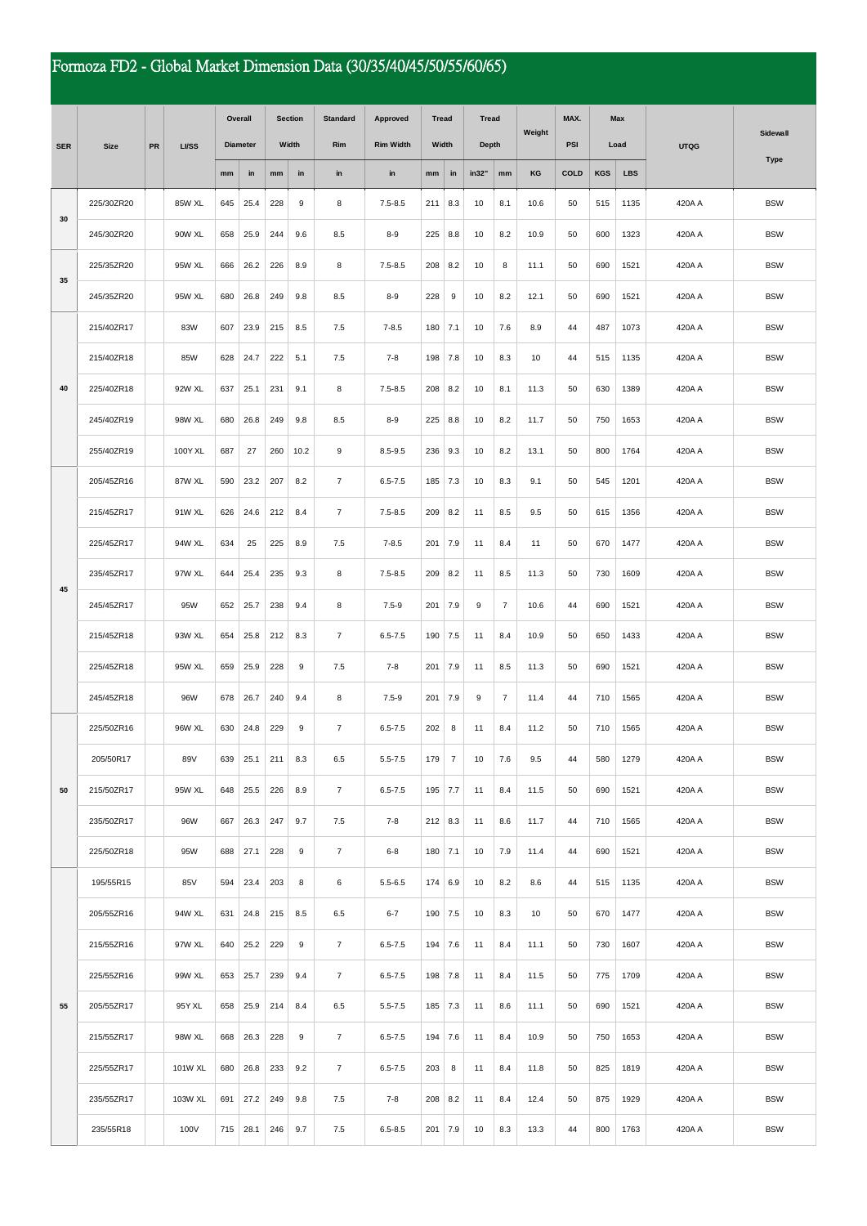## Formoza FD2 - Global Market Dimension Data (30/35/40/45/50/55/60/65)

|            | <b>Size</b> | PR | <b>LI/SS</b> | Overall         |      | <b>Section</b> |      | <b>Standard</b> | Approved         | <b>Tread</b><br>Width |                | Tread<br>Depth |                | Weight | MAX.       | <b>Max</b><br>Load |            | <b>UTQG</b> | Sidewall    |
|------------|-------------|----|--------------|-----------------|------|----------------|------|-----------------|------------------|-----------------------|----------------|----------------|----------------|--------|------------|--------------------|------------|-------------|-------------|
| <b>SER</b> |             |    |              | <b>Diameter</b> |      | Width          |      | <b>Rim</b>      | <b>Rim Width</b> |                       |                |                |                |        | <b>PSI</b> |                    |            |             |             |
|            |             |    |              | mm              | in   | mm             | in   | in              | in               | mm                    | in             | in32"          | mm             | KG     | COLD       | <b>KGS</b>         | <b>LBS</b> |             | <b>Type</b> |
|            | 225/30ZR20  |    | 85W XL       | 645             | 25.4 | 228            | 9    | 8               | $7.5 - 8.5$      | 211                   | 8.3            | 10             | 8.1            | 10.6   | 50         | 515                | 1135       | 420A A      | <b>BSW</b>  |
| 30         | 245/30ZR20  |    | 90W XL       | 658             | 25.9 | 244            | 9.6  | 8.5             | $8 - 9$          | 225                   | 8.8            | 10             | 8.2            | 10.9   | 50         | 600                | 1323       | 420A A      | <b>BSW</b>  |
| 35         | 225/35ZR20  |    | 95W XL       | 666             | 26.2 | 226            | 8.9  | 8               | $7.5 - 8.5$      | 208                   | 8.2            | 10             | 8              | 11.1   | 50         | 690                | 1521       | 420A A      | <b>BSW</b>  |
|            | 245/35ZR20  |    | 95W XL       | 680             | 26.8 | 249            | 9.8  | 8.5             | $8 - 9$          | 228                   | 9              | 10             | 8.2            | 12.1   | 50         | 690                | 1521       | 420A A      | <b>BSW</b>  |
| 40         | 215/40ZR17  |    | 83W          | 607             | 23.9 | 215            | 8.5  | 7.5             | $7 - 8.5$        | 180                   | 7.1            | 10             | 7.6            | 8.9    | 44         | 487                | 1073       | 420A A      | <b>BSW</b>  |
|            | 215/40ZR18  |    | 85W          | 628             | 24.7 | 222            | 5.1  | 7.5             | $7 - 8$          | 198                   | 7.8            | 10             | 8.3            | 10     | 44         | 515                | 1135       | 420A A      | <b>BSW</b>  |
|            | 225/40ZR18  |    | 92W XL       | 637             | 25.1 | 231            | 9.1  | 8               | $7.5 - 8.5$      | 208                   | 8.2            | 10             | 8.1            | 11.3   | 50         | 630                | 1389       | 420A A      | <b>BSW</b>  |
|            | 245/40ZR19  |    | 98W XL       | 680             | 26.8 | 249            | 9.8  | 8.5             | $8-9$            | 225                   | 8.8            | 10             | 8.2            | 11.7   | 50         | 750                | 1653       | 420A A      | <b>BSW</b>  |
|            | 255/40ZR19  |    | 100Y XL      | 687             | 27   | 260            | 10.2 | 9               | $8.5 - 9.5$      | 236                   | 9.3            | 10             | 8.2            | 13.1   | 50         | 800                | 1764       | 420A A      | <b>BSW</b>  |
|            | 205/45ZR16  |    | 87W XL       | 590             | 23.2 | 207            | 8.2  | $\overline{7}$  | $6.5 - 7.5$      | 185                   | 7.3            | 10             | 8.3            | 9.1    | 50         | 545                | 1201       | 420A A      | <b>BSW</b>  |
| 45         | 215/45ZR17  |    | 91W XL       | 626             | 24.6 | 212            | 8.4  | $\overline{7}$  | $7.5 - 8.5$      | 209                   | 8.2            | 11             | 8.5            | 9.5    | 50         | 615                | 1356       | 420A A      | <b>BSW</b>  |
|            | 225/45ZR17  |    | 94W XL       | 634             | 25   | 225            | 8.9  | 7.5             | $7 - 8.5$        | 201                   | 7.9            | 11             | 8.4            | 11     | 50         | 670                | 1477       | 420A A      | <b>BSW</b>  |
|            | 235/45ZR17  |    | 97W XL       | 644             | 25.4 | 235            | 9.3  | 8               | $7.5 - 8.5$      | 209                   | 8.2            | 11             | 8.5            | 11.3   | 50         | 730                | 1609       | 420A A      | <b>BSW</b>  |
|            | 245/45ZR17  |    | 95W          | 652             | 25.7 | 238            | 9.4  | 8               | $7.5 - 9$        | 201                   | 7.9            | 9              | $\overline{7}$ | 10.6   | 44         | 690                | 1521       | 420A A      | <b>BSW</b>  |
|            | 215/45ZR18  |    | 93W XL       | 654             | 25.8 | 212            | 8.3  | 7               | $6.5 - 7.5$      | 190                   | 7.5            | 11             | 8.4            | 10.9   | 50         | 650                | 1433       | 420A A      | <b>BSW</b>  |
|            | 225/45ZR18  |    | 95W XL       | 659             | 25.9 | 228            | 9    | 7.5             | $7 - 8$          | 201                   | 7.9            | 11             | 8.5            | 11.3   | 50         | 690                | 1521       | 420A A      | <b>BSW</b>  |
|            | 245/45ZR18  |    | 96W          | 678             | 26.7 | 240            | 9.4  | 8               | $7.5 - 9$        | 201                   | 7.9            | 9              | $\overline{7}$ | 11.4   | 44         | 710                | 1565       | 420A A      | <b>BSW</b>  |
|            | 225/50ZR16  |    | 96W XL       | 630             | 24.8 | 229            | 9    | $\overline{7}$  | $6.5 - 7.5$      | 202                   | 8              | 11             | 8.4            | 11.2   | 50         | 710                | 1565       | 420A A      | <b>BSW</b>  |
|            | 205/50R17   |    | 89V          | 639             | 25.1 | 211            | 8.3  | 6.5             | $5.5 - 7.5$      | 179                   | $\overline{7}$ | 10             | 7.6            | 9.5    | 44         | 580                | 1279       | 420A A      | <b>BSW</b>  |
| 50         | 215/50ZR17  |    | 95W XL       | 648             | 25.5 | 226            | 8.9  | $\overline{7}$  | $6.5 - 7.5$      | 195 7.7               |                | 11             | 8.4            | 11.5   | 50         | 690                | 1521       | 420A A      | <b>BSW</b>  |
|            | 235/50ZR17  |    | 96W          | 667             | 26.3 | 247            | 9.7  | 7.5             | $7 - 8$          | $212$ 8.3             |                | 11             | 8.6            | 11.7   | 44         | 710                | 1565       | 420A A      | <b>BSW</b>  |
|            | 225/50ZR18  |    | 95W          | 688             | 27.1 | 228            | 9    | $\overline{7}$  | $6 - 8$          | 180                   | 7.1            | 10             | 7.9            | 11.4   | 44         | 690                | 1521       | 420A A      | <b>BSW</b>  |
|            | 195/55R15   |    | 85V          | 594             | 23.4 | 203            | 8    | 6               | $5.5 - 6.5$      | 174   6.9             |                | 10             | 8.2            | 8.6    | 44         | 515                | 1135       | 420A A      | <b>BSW</b>  |
|            | 205/55ZR16  |    | 94W XL       | 631             | 24.8 | 215            | 8.5  | 6.5             | $6 - 7$          | 190                   | 7.5            | 10             | 8.3            | 10     | 50         | 670                | 1477       | 420A A      | <b>BSW</b>  |
|            | 215/55ZR16  |    | 97W XL       | 640             | 25.2 | 229            | 9    | $\overline{7}$  | $6.5 - 7.5$      | $194$ 7.6             |                | 11             | 8.4            | 11.1   | 50         | 730                | 1607       | 420A A      | <b>BSW</b>  |
|            | 225/55ZR16  |    | 99W XL       | 653             | 25.7 | 239            | 9.4  | $\overline{7}$  | $6.5 - 7.5$      | 198                   | 7.8            | 11             | 8.4            | 11.5   | 50         | 775                | 1709       | 420A A      | <b>BSW</b>  |
| 55         | 205/55ZR17  |    | 95Y XL       | 658             | 25.9 | 214            | 8.4  | 6.5             | $5.5 - 7.5$      | $185$ 7.3             |                | 11             | 8.6            | 11.1   | 50         | 690                | 1521       | 420A A      | <b>BSW</b>  |
|            | 215/55ZR17  |    | 98W XL       | 668             | 26.3 | 228            | 9    | $\overline{7}$  | $6.5 - 7.5$      | 194                   | 7.6            | 11             | 8.4            | 10.9   | 50         | 750                | 1653       | 420A A      | <b>BSW</b>  |
|            | 225/55ZR17  |    | 101W XL      | 680             | 26.8 | 233            | 9.2  | $\overline{7}$  | $6.5 - 7.5$      | 203                   | 8              | 11             | 8.4            | 11.8   | 50         | 825                | 1819       | 420A A      | <b>BSW</b>  |
|            | 235/55ZR17  |    | 103W XL      | 691             | 27.2 | 249            | 9.8  | 7.5             | $7 - 8$          | 208 8.2               |                | 11             | 8.4            | 12.4   | 50         | 875                | 1929       | 420A A      | <b>BSW</b>  |
|            | 235/55R18   |    | 100V         | 715             | 28.1 | 246            | 9.7  | 7.5             | $6.5 - 8.5$      | 201 7.9               |                | 10             | 8.3            | 13.3   | 44         | 800                | 1763       | 420A A      | <b>BSW</b>  |